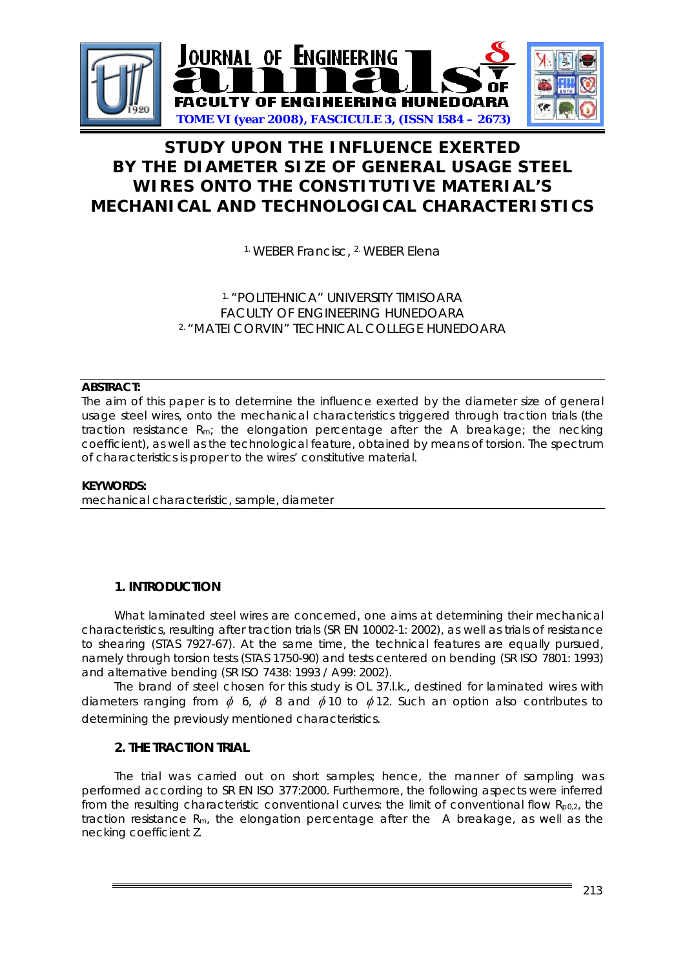

# **STUDY UPON THE INFLUENCE EXERTED BY THE DIAMETER SIZE OF GENERAL USAGE STEEL WIRES ONTO THE CONSTITUTIVE MATERIAL'S MECHANICAL AND TECHNOLOGICAL CHARACTERISTICS**

1. WEBER Francisc, 2. WEBER Elena

## 1. "POLITEHNICA" UNIVERSITY TIMISOARA FACULTY OF ENGINEERING HUNEDOARA 2. "MATEI CORVIN" TECHNICAL COLLEGE HUNEDOARA

## **ABSTRACT:**

The aim of this paper is to determine the influence exerted by the diameter size of general usage steel wires, onto the mechanical characteristics triggered through traction trials (the traction resistance Rm; the elongation percentage after the A breakage; the necking coefficient), as well as the technological feature, obtained by means of torsion. The spectrum of characteristics is proper to the wires' constitutive material.

### **KEYWORDS:**

mechanical characteristic, sample, diameter

## **1. INTRODUCTION**

What laminated steel wires are concerned, one aims at determining their mechanical characteristics, resulting after traction trials (SR EN 10002-1: 2002), as well as trials of resistance to shearing (STAS 7927-67). At the same time, the technical features are equally pursued, namely through torsion tests (STAS 1750-90) and tests centered on bending (SR ISO 7801: 1993) and alternative bending (SR ISO 7438: 1993 / A99: 2002).

The brand of steel chosen for this study is OL 37.l.k., destined for laminated wires with diameters ranging from  $\phi$  6,  $\phi$  8 and  $\phi$ 10 to  $\phi$ 12. Such an option also contributes to determining the previously mentioned characteristics.

## **2. THE TRACTION TRIAL**

The trial was carried out on short samples; hence, the manner of sampling was performed according to SR EN ISO 377:2000. Furthermore, the following aspects were inferred from the resulting characteristic conventional curves: the limit of conventional flow  $R_{p0,2}$ , the traction resistance  $R_m$ , the elongation percentage after the  $A$  breakage, as well as the necking coefficient Z.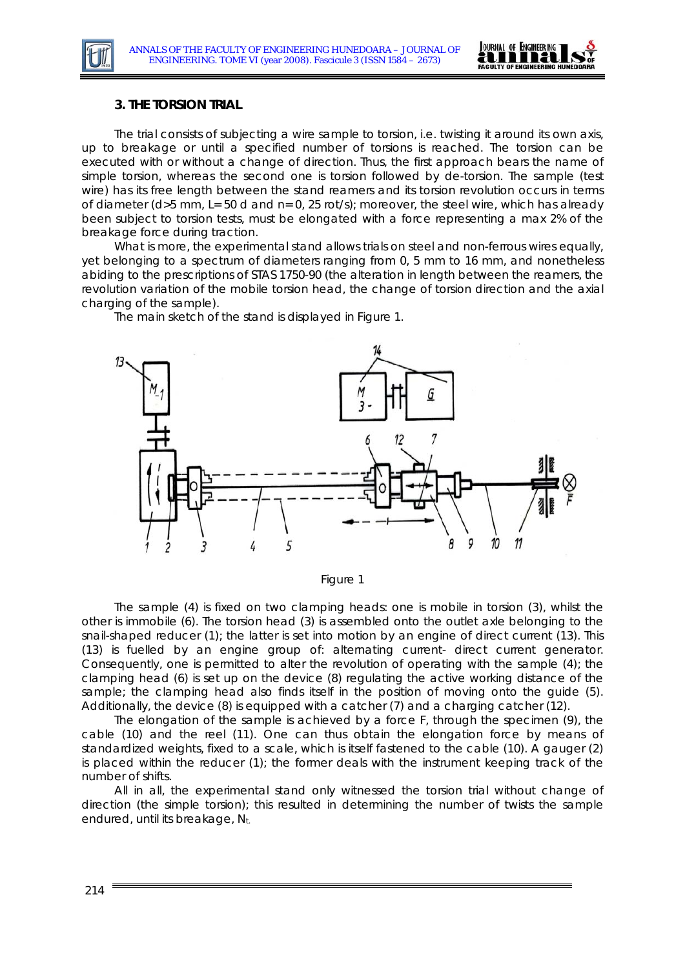

### **3. THE TORSION TRIAL**

The trial consists of subjecting a wire sample to torsion, i.e. twisting it around its own axis, up to breakage or until a specified number of torsions is reached. The torsion can be executed with or without a change of direction. Thus, the first approach bears the name of *simple torsion*, whereas the second one is torsion *followed by de-torsion*. The sample (test wire) has its free length between the stand reamers and its torsion revolution occurs in terms of diameter (d>5 mm, L= 50 d and n= 0, 25 rot/s); moreover, the steel wire, which has already been subject to torsion tests, must be elongated with a force representing a max 2% of the breakage force during traction.

What is more, the experimental stand allows trials on steel and non-ferrous wires equally, yet belonging to a spectrum of diameters ranging from 0, 5 mm to 16 mm, and nonetheless abiding to the prescriptions of STAS 1750-90 (the alteration in length between the reamers, the revolution variation of the mobile torsion head, the change of torsion direction and the axial charging of the sample).

The main sketch of the stand is displayed in Figure 1.





The sample (4) is fixed on two clamping heads: one is mobile in torsion (3), whilst the other is immobile (6). The torsion head (3) is assembled onto the outlet axle belonging to the snail-shaped reducer (1); the latter is set into motion by an engine of direct current (13). This (13) is fuelled by an engine group of: alternating current- direct current generator. Consequently, one is permitted to alter the revolution of operating with the sample (4); the clamping head (6) is set up on the device (8) regulating the active working distance of the sample; the clamping head also finds itself in the position of moving onto the guide (5). Additionally, the device (8) is equipped with a catcher (7) and a charging catcher (12).

The elongation of the sample is achieved by a force F, through the specimen (9), the cable (10) and the reel (11). One can thus obtain the elongation force by means of standardized weights, fixed to a scale, which is itself fastened to the cable (10). A gauger (2) is placed within the reducer (1); the former deals with the instrument keeping track of the number of shifts.

All in all, the experimental stand only witnessed the torsion trial without change of direction (the simple torsion); this resulted in determining the number of twists the sample endured, until its breakage, Nt.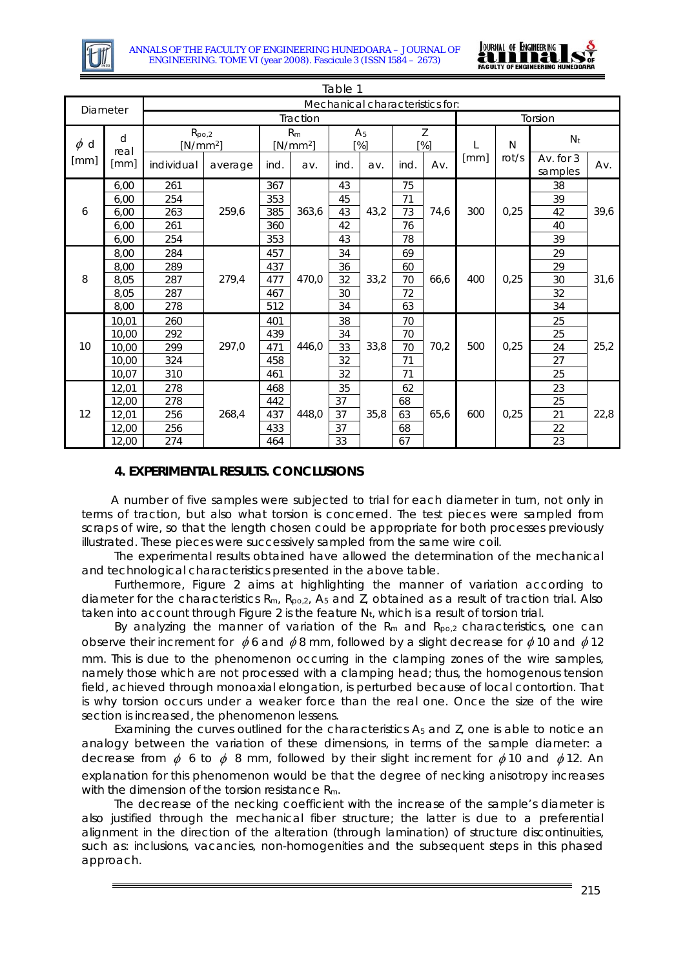



| Table 1          |                   |                                 |         |                              |       |                       |      |                        |             |         |       |                        |      |
|------------------|-------------------|---------------------------------|---------|------------------------------|-------|-----------------------|------|------------------------|-------------|---------|-------|------------------------|------|
| Diameter         |                   | Mechanical characteristics for: |         |                              |       |                       |      |                        |             |         |       |                        |      |
|                  |                   | Traction                        |         |                              |       |                       |      |                        |             | Torsion |       |                        |      |
| $\phi$ d<br>[mm] | d<br>real<br>[mm] | $R_{po,2}$<br>$[N/mm^2]$        |         | R <sub>m</sub><br>$[N/mm^2]$ |       | A <sub>5</sub><br>[%] |      | Z<br>$\lceil % \rceil$ |             |         | N     | N <sub>t</sub>         |      |
|                  |                   | individual                      | average | ind.                         | av.   | ind.                  | av.  | ind.                   | Av.         | [mm]    | rot/s | Av. for $3$<br>samples | Av.  |
| 6                | 6,00              | 261                             | 259,6   | 367                          | 363,6 | 43                    | 43,2 | 75                     | 74,6<br>300 |         | 38    |                        |      |
|                  | 6,00              | 254                             |         | 353                          |       | 45                    |      | 71                     |             |         | 0,25  | 39                     | 39,6 |
|                  | 6,00              | 263                             |         | 385                          |       | 43                    |      | 73                     |             |         |       | 42                     |      |
|                  | 6,00              | 261                             |         | 360                          |       | 42                    |      | 76                     |             |         |       | 40                     |      |
|                  | 6.00              | 254                             |         | 353                          |       | 43                    |      | 78                     |             |         |       | 39                     |      |
| 8                | 8,00              | 284                             | 279,4   | 457                          | 470,0 | 34                    |      | 69                     |             | 400     | 0,25  | 29                     | 31,6 |
|                  | 8,00              | 289                             |         | 437                          |       | 36                    | 33,2 | 60                     | 66,6        |         |       | 29                     |      |
|                  | 8,05              | 287                             |         | 477                          |       | 32                    |      | 70                     |             |         |       | 30                     |      |
|                  | 8,05              | 287                             |         | 467                          |       | 30                    |      | 72                     |             |         |       | 32                     |      |
|                  | 8,00              | 278                             |         | 512                          |       | 34                    |      | 63                     |             |         |       | 34                     |      |
| 10               | 10,01             | 260                             | 297,0   | 401                          | 446,0 | 38                    | 33,8 | 70                     | 70,2        | 500     | 0,25  | 25                     | 25,2 |
|                  | 10,00             | 292                             |         | 439                          |       | 34                    |      | 70                     |             |         |       | 25                     |      |
|                  | 10,00             | 299                             |         | 471                          |       | 33                    |      | 70                     |             |         |       | 24                     |      |
|                  | 10,00             | 324                             |         | 458                          |       | 32                    |      | 71                     |             |         |       | 27                     |      |
|                  | 10,07             | 310                             |         | 461                          |       | 32                    |      | 71                     |             |         |       | 25                     |      |
| 12               | 12,01             | 278                             | 268,4   | 468                          | 448.0 | 35                    | 35,8 | 62                     | 65.6        |         | 0,25  | 23                     | 22,8 |
|                  | 12,00             | 278                             |         | 442                          |       | 37                    |      | 68                     |             |         |       | 25                     |      |
|                  | 12,01             | 256                             |         | 437                          |       | 37                    |      | 63                     |             | 600     |       | 21                     |      |
|                  | 12,00             | 256                             |         | 433                          |       | 37                    |      | 68                     |             |         |       | 22                     |      |
|                  | 12,00             | 274                             |         | 464                          |       | 33                    |      | 67                     |             |         |       | 23                     |      |

## **4. EXPERIMENTAL RESULTS. CONCLUSIONS**

A number of five samples were subjected to trial for each diameter in turn, not only in terms of traction, but also what torsion is concerned. The test pieces were sampled from scraps of wire, so that the length chosen could be appropriate for both processes previously illustrated. These pieces were successively sampled from the same wire coil.

The experimental results obtained have allowed the determination of the mechanical and technological characteristics presented in the above table.

Furthermore, Figure 2 aims at highlighting the manner of variation according to diameter for the characteristics  $R_m$ ,  $R_{po,2}$ ,  $A_5$  and  $\overline{Z}$ , obtained as a result of traction trial. Also taken into account through Figure 2 is the feature  $N_t$ , which is a result of torsion trial.

By analyzing the manner of variation of the  $R_m$  and  $R_{po,2}$  characteristics, one can observe their increment for  $\phi$  6 and  $\phi$ 8 mm, followed by a slight decrease for  $\phi$ 10 and  $\phi$ 12

mm. This is due to the phenomenon occurring in the clamping zones of the wire samples, namely those which are not processed with a clamping head; thus, the homogenous tension field, achieved through monoaxial elongation, is perturbed because of local contortion. That is why torsion occurs under a weaker force than the real one. Once the size of the wire section is increased, the phenomenon lessens.

Examining the curves outlined for the characteristics  $A_5$  and  $Z$ , one is able to notice an analogy between the variation of these dimensions, in terms of the sample diameter: a decrease from  $\phi$  6 to  $\phi$  8 mm, followed by their slight increment for  $\phi$  10 and  $\phi$  12. An explanation for this phenomenon would be that the degree of necking anisotropy increases with the dimension of the torsion resistance R<sub>m</sub>.

The decrease of the necking coefficient with the increase of the sample's diameter is also justified through the mechanical fiber structure; the latter is due to a preferential alignment in the direction of the alteration (through lamination) of structure discontinuities, such as: inclusions, vacancies, non-homogenities and the subsequent steps in this phased approach.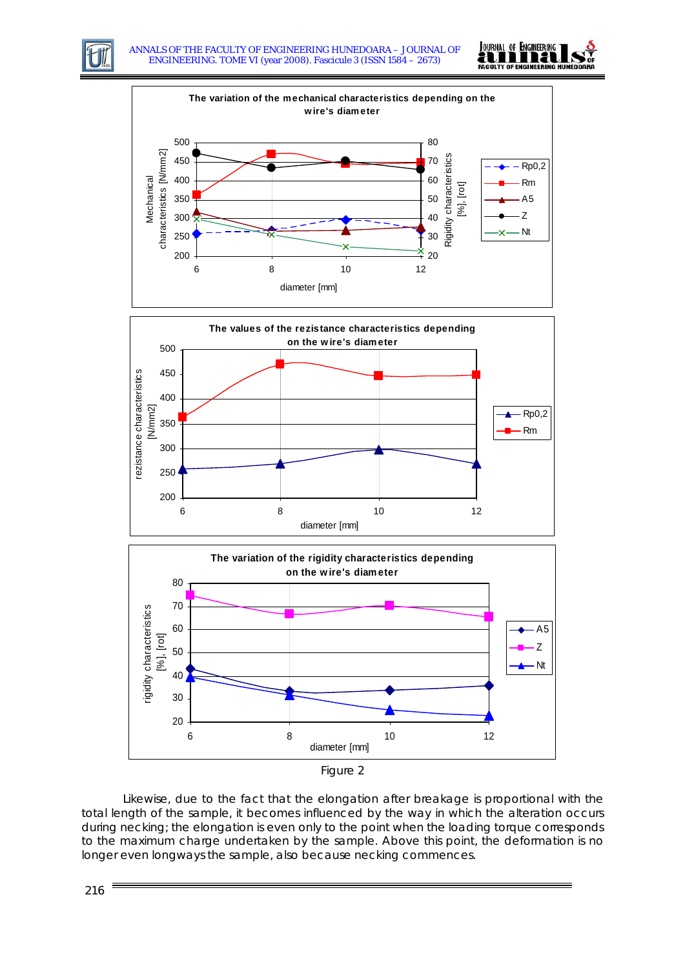











Likewise, due to the fact that the elongation after breakage is proportional with the total length of the sample, it becomes influenced by the way in which the alteration occurs during necking; the elongation is even only to the point when the loading torque corresponds to the maximum charge undertaken by the sample. Above this point, the deformation is no longer even longways the sample, also because necking commences.